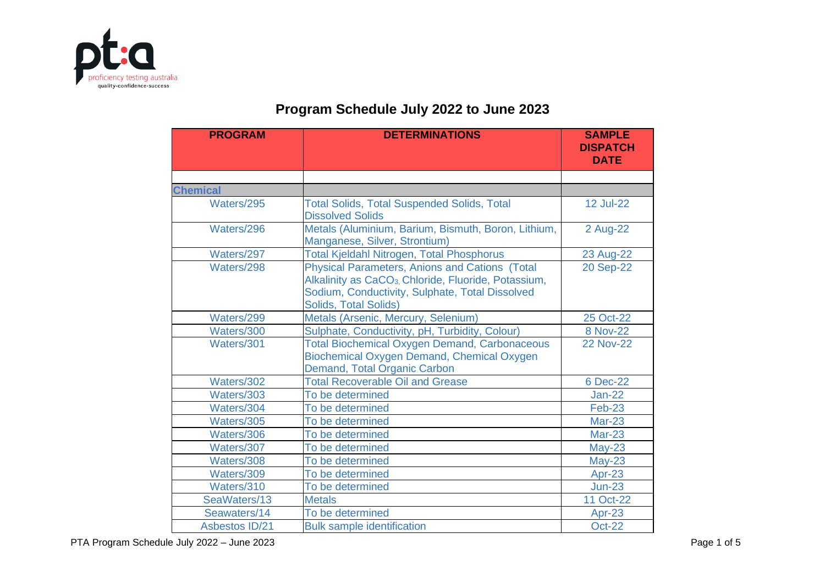

## **Program Schedule July 2022 to June 2023**

| <b>PROGRAM</b>        | <b>DETERMINATIONS</b>                                                                                                                                                                                 | <b>SAMPLE</b><br><b>DISPATCH</b><br><b>DATE</b> |
|-----------------------|-------------------------------------------------------------------------------------------------------------------------------------------------------------------------------------------------------|-------------------------------------------------|
|                       |                                                                                                                                                                                                       |                                                 |
| <b>Chemical</b>       |                                                                                                                                                                                                       |                                                 |
| Waters/295            | <b>Total Solids, Total Suspended Solids, Total</b><br><b>Dissolved Solids</b>                                                                                                                         | <b>12 Jul-22</b>                                |
| Waters/296            | Metals (Aluminium, Barium, Bismuth, Boron, Lithium,<br>Manganese, Silver, Strontium)                                                                                                                  | 2 Aug-22                                        |
| Waters/297            | <b>Total Kjeldahl Nitrogen, Total Phosphorus</b>                                                                                                                                                      | 23 Aug-22                                       |
| Waters/298            | Physical Parameters, Anions and Cations (Total<br>Alkalinity as CaCO <sub>3</sub> , Chloride, Fluoride, Potassium,<br>Sodium, Conductivity, Sulphate, Total Dissolved<br><b>Solids, Total Solids)</b> | 20 Sep-22                                       |
| Waters/299            | Metals (Arsenic, Mercury, Selenium)                                                                                                                                                                   | 25 Oct-22                                       |
| Waters/300            | Sulphate, Conductivity, pH, Turbidity, Colour)                                                                                                                                                        | 8 Nov-22                                        |
| Waters/301            | <b>Total Biochemical Oxygen Demand, Carbonaceous</b><br>Biochemical Oxygen Demand, Chemical Oxygen<br>Demand, Total Organic Carbon                                                                    | <b>22 Nov-22</b>                                |
| Waters/302            | <b>Total Recoverable Oil and Grease</b>                                                                                                                                                               | 6 Dec-22                                        |
| Waters/303            | To be determined                                                                                                                                                                                      | <b>Jan-22</b>                                   |
| Waters/304            | To be determined                                                                                                                                                                                      | <b>Feb-23</b>                                   |
| Waters/305            | To be determined                                                                                                                                                                                      | <b>Mar-23</b>                                   |
| Waters/306            | To be determined                                                                                                                                                                                      | <b>Mar-23</b>                                   |
| Waters/307            | To be determined                                                                                                                                                                                      | $May-23$                                        |
| Waters/308            | To be determined                                                                                                                                                                                      | $May-23$                                        |
| Waters/309            | To be determined                                                                                                                                                                                      | Apr-23                                          |
| Waters/310            | To be determined                                                                                                                                                                                      | $Jun-23$                                        |
| SeaWaters/13          | <b>Metals</b>                                                                                                                                                                                         | 11 Oct-22                                       |
| Seawaters/14          | To be determined                                                                                                                                                                                      | Apr-23                                          |
| <b>Asbestos ID/21</b> | <b>Bulk sample identification</b>                                                                                                                                                                     | <b>Oct-22</b>                                   |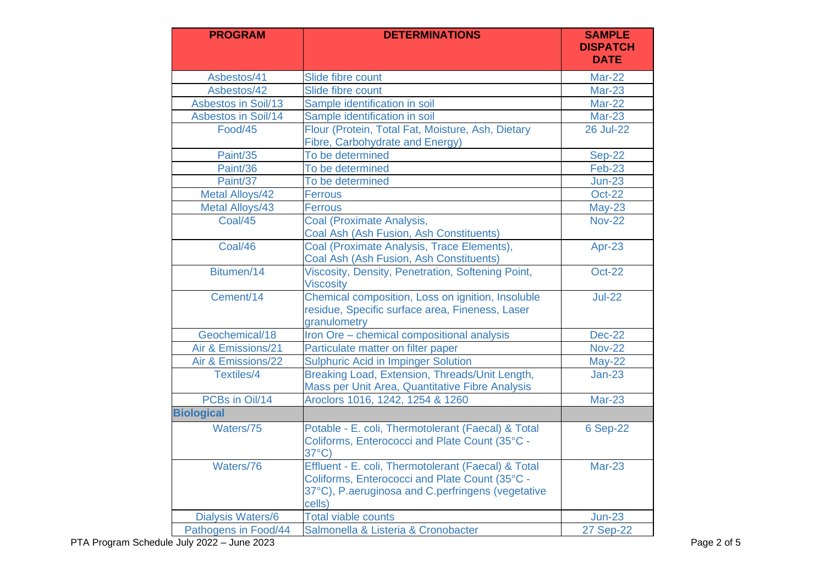| <b>PROGRAM</b>           | <b>DETERMINATIONS</b>                                                                                                                                                | <b>SAMPLE</b><br><b>DISPATCH</b><br><b>DATE</b> |
|--------------------------|----------------------------------------------------------------------------------------------------------------------------------------------------------------------|-------------------------------------------------|
| Asbestos/41              | Slide fibre count                                                                                                                                                    | Mar-22                                          |
| Asbestos/42              | Slide fibre count                                                                                                                                                    | <b>Mar-23</b>                                   |
| Asbestos in Soil/13      | Sample identification in soil                                                                                                                                        | <b>Mar-22</b>                                   |
| Asbestos in Soil/14      | Sample identification in soil                                                                                                                                        | <b>Mar-23</b>                                   |
| Food/45                  | Flour (Protein, Total Fat, Moisture, Ash, Dietary<br>Fibre, Carbohydrate and Energy)                                                                                 | <b>26 Jul-22</b>                                |
| Paint/35                 | To be determined                                                                                                                                                     | <b>Sep-22</b>                                   |
| Paint/36                 | To be determined                                                                                                                                                     | <b>Feb-23</b>                                   |
| Paint/37                 | To be determined                                                                                                                                                     | $Jun-23$                                        |
| <b>Metal Alloys/42</b>   | <b>Ferrous</b>                                                                                                                                                       | <b>Oct-22</b>                                   |
| Metal Alloys/43          | <b>Ferrous</b>                                                                                                                                                       | $May-23$                                        |
| Coal/45                  | Coal (Proximate Analysis,<br>Coal Ash (Ash Fusion, Ash Constituents)                                                                                                 | <b>Nov-22</b>                                   |
| Coal/46                  | Coal (Proximate Analysis, Trace Elements),<br>Coal Ash (Ash Fusion, Ash Constituents)                                                                                | Apr-23                                          |
| Bitumen/14               | Viscosity, Density, Penetration, Softening Point,<br><b>Viscosity</b>                                                                                                | <b>Oct-22</b>                                   |
| Cement/14                | Chemical composition, Loss on ignition, Insoluble<br>residue, Specific surface area, Fineness, Laser<br>granulometry                                                 | $Jul-22$                                        |
| Geochemical/18           | Iron Ore - chemical compositional analysis                                                                                                                           | <b>Dec-22</b>                                   |
| Air & Emissions/21       | Particulate matter on filter paper                                                                                                                                   | <b>Nov-22</b>                                   |
| Air & Emissions/22       | <b>Sulphuric Acid in Impinger Solution</b>                                                                                                                           | <b>May-22</b>                                   |
| <b>Textiles/4</b>        | Breaking Load, Extension, Threads/Unit Length,<br>Mass per Unit Area, Quantitative Fibre Analysis                                                                    | $Jan-23$                                        |
| PCBs in Oil/14           | Aroclors 1016, 1242, 1254 & 1260                                                                                                                                     | <b>Mar-23</b>                                   |
| <b>Biological</b>        |                                                                                                                                                                      |                                                 |
| Waters/75                | Potable - E. coli, Thermotolerant (Faecal) & Total<br>Coliforms, Enterococci and Plate Count (35°C -<br>$37^{\circ}$ C)                                              | 6 Sep-22                                        |
| Waters/76                | Effluent - E. coli, Thermotolerant (Faecal) & Total<br>Coliforms, Enterococci and Plate Count (35°C -<br>37°C), P.aeruginosa and C.perfringens (vegetative<br>cells) | <b>Mar-23</b>                                   |
| <b>Dialysis Waters/6</b> | <b>Total viable counts</b>                                                                                                                                           | $Jun-23$                                        |
| Pathogens in Food/44     | Salmonella & Listeria & Cronobacter                                                                                                                                  | <b>27 Sep-22</b>                                |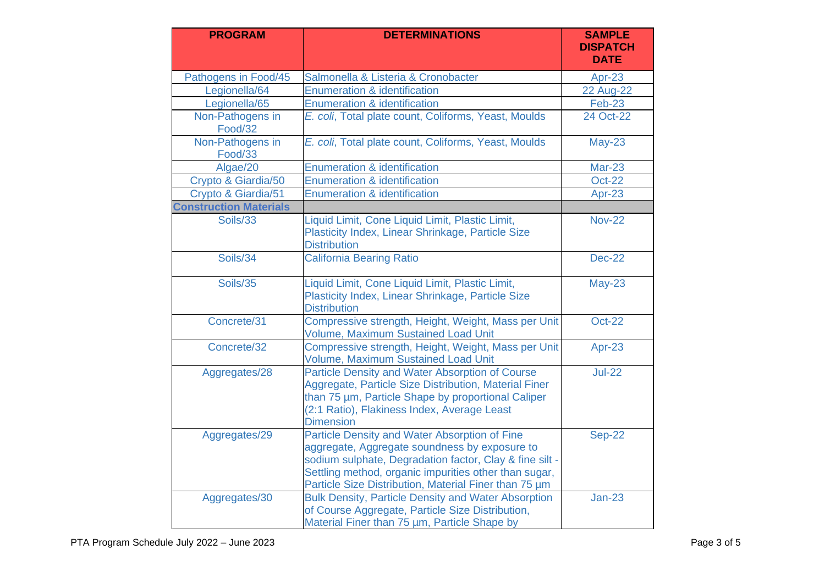| <b>PROGRAM</b>                | <b>DETERMINATIONS</b>                                                                                                                                                                                                                                                       | <b>SAMPLE</b><br><b>DISPATCH</b><br><b>DATE</b> |
|-------------------------------|-----------------------------------------------------------------------------------------------------------------------------------------------------------------------------------------------------------------------------------------------------------------------------|-------------------------------------------------|
| Pathogens in Food/45          | Salmonella & Listeria & Cronobacter                                                                                                                                                                                                                                         | Apr-23                                          |
| Legionella/64                 | <b>Enumeration &amp; identification</b>                                                                                                                                                                                                                                     | <b>22 Aug-22</b>                                |
| Legionella/65                 | <b>Enumeration &amp; identification</b>                                                                                                                                                                                                                                     | $Feb-23$                                        |
| Non-Pathogens in<br>Food/32   | E. coli, Total plate count, Coliforms, Yeast, Moulds                                                                                                                                                                                                                        | 24 Oct-22                                       |
| Non-Pathogens in<br>Food/33   | E. coli, Total plate count, Coliforms, Yeast, Moulds                                                                                                                                                                                                                        | $May-23$                                        |
| Algae/20                      | <b>Enumeration &amp; identification</b>                                                                                                                                                                                                                                     | <b>Mar-23</b>                                   |
| Crypto & Giardia/50           | <b>Enumeration &amp; identification</b>                                                                                                                                                                                                                                     | <b>Oct-22</b>                                   |
| Crypto & Giardia/51           | Enumeration & identification                                                                                                                                                                                                                                                | Apr-23                                          |
| <b>Construction Materials</b> |                                                                                                                                                                                                                                                                             |                                                 |
| Soils/33                      | Liquid Limit, Cone Liquid Limit, Plastic Limit,<br>Plasticity Index, Linear Shrinkage, Particle Size<br><b>Distribution</b>                                                                                                                                                 | <b>Nov-22</b>                                   |
| Soils/34                      | <b>California Bearing Ratio</b>                                                                                                                                                                                                                                             | <b>Dec-22</b>                                   |
| Soils/35                      | Liquid Limit, Cone Liquid Limit, Plastic Limit,<br>Plasticity Index, Linear Shrinkage, Particle Size<br><b>Distribution</b>                                                                                                                                                 | $May-23$                                        |
| Concrete/31                   | Compressive strength, Height, Weight, Mass per Unit<br>Volume, Maximum Sustained Load Unit                                                                                                                                                                                  | <b>Oct-22</b>                                   |
| Concrete/32                   | Compressive strength, Height, Weight, Mass per Unit<br><b>Volume, Maximum Sustained Load Unit</b>                                                                                                                                                                           | Apr-23                                          |
| Aggregates/28                 | Particle Density and Water Absorption of Course<br>Aggregate, Particle Size Distribution, Material Finer<br>than 75 um, Particle Shape by proportional Caliper<br>(2:1 Ratio), Flakiness Index, Average Least<br><b>Dimension</b>                                           | $Jul-22$                                        |
| Aggregates/29                 | Particle Density and Water Absorption of Fine<br>aggregate, Aggregate soundness by exposure to<br>sodium sulphate, Degradation factor, Clay & fine silt -<br>Settling method, organic impurities other than sugar,<br>Particle Size Distribution, Material Finer than 75 um | <b>Sep-22</b>                                   |
| Aggregates/30                 | <b>Bulk Density, Particle Density and Water Absorption</b><br>of Course Aggregate, Particle Size Distribution,<br>Material Finer than 75 um, Particle Shape by                                                                                                              | $Jan-23$                                        |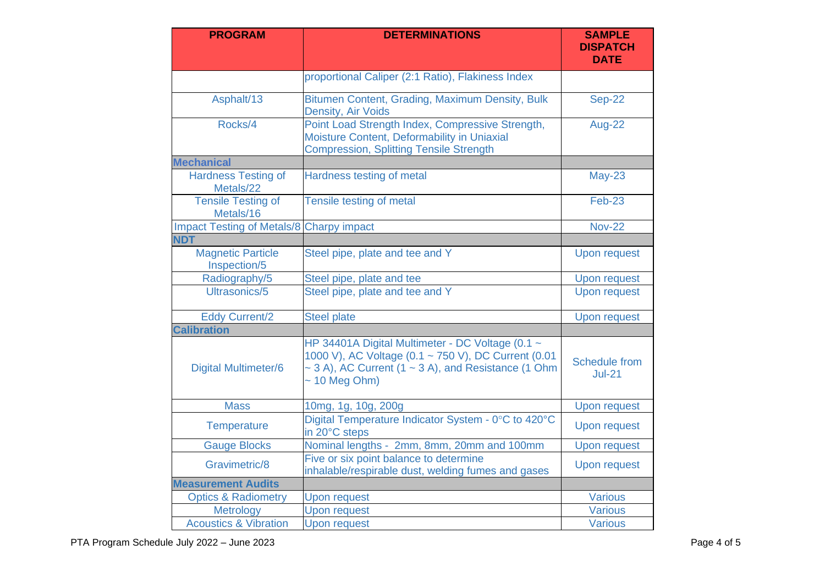| <b>PROGRAM</b>                                  | <b>DETERMINATIONS</b>                                                                                                                                                                          | <b>SAMPLE</b><br><b>DISPATCH</b><br><b>DATE</b> |
|-------------------------------------------------|------------------------------------------------------------------------------------------------------------------------------------------------------------------------------------------------|-------------------------------------------------|
|                                                 | proportional Caliper (2:1 Ratio), Flakiness Index                                                                                                                                              |                                                 |
| Asphalt/13                                      | Bitumen Content, Grading, Maximum Density, Bulk<br><b>Density, Air Voids</b>                                                                                                                   | <b>Sep-22</b>                                   |
| Rocks/4                                         | Point Load Strength Index, Compressive Strength,<br>Moisture Content, Deformability in Uniaxial<br><b>Compression, Splitting Tensile Strength</b>                                              | Aug-22                                          |
| <b>Mechanical</b>                               |                                                                                                                                                                                                |                                                 |
| <b>Hardness Testing of</b><br>Metals/22         | Hardness testing of metal                                                                                                                                                                      | $May-23$                                        |
| <b>Tensile Testing of</b><br>Metals/16          | Tensile testing of metal                                                                                                                                                                       | <b>Feb-23</b>                                   |
| <b>Impact Testing of Metals/8 Charpy impact</b> |                                                                                                                                                                                                | <b>Nov-22</b>                                   |
| <b>NDT</b>                                      |                                                                                                                                                                                                |                                                 |
| <b>Magnetic Particle</b><br>Inspection/5        | Steel pipe, plate and tee and Y                                                                                                                                                                | <b>Upon request</b>                             |
| Radiography/5                                   | Steel pipe, plate and tee                                                                                                                                                                      | <b>Upon request</b>                             |
| Ultrasonics/5                                   | Steel pipe, plate and tee and Y                                                                                                                                                                | <b>Upon request</b>                             |
| <b>Eddy Current/2</b>                           | <b>Steel plate</b>                                                                                                                                                                             | <b>Upon request</b>                             |
| <b>Calibration</b>                              |                                                                                                                                                                                                |                                                 |
| <b>Digital Multimeter/6</b>                     | HP 34401A Digital Multimeter - DC Voltage (0.1 ~<br>1000 V), AC Voltage (0.1 ~ 750 V), DC Current (0.01<br>$\sim$ 3 A), AC Current (1 $\sim$ 3 A), and Resistance (1 Ohm<br>$\sim$ 10 Meg Ohm) | <b>Schedule from</b><br>$Jul-21$                |
| <b>Mass</b>                                     | 10mg, 1g, 10g, 200g                                                                                                                                                                            | <b>Upon request</b>                             |
| <b>Temperature</b>                              | Digital Temperature Indicator System - 0°C to 420°C<br>in 20°C steps                                                                                                                           | <b>Upon request</b>                             |
| <b>Gauge Blocks</b>                             | Nominal lengths - 2mm, 8mm, 20mm and 100mm                                                                                                                                                     | <b>Upon request</b>                             |
| Gravimetric/8                                   | Five or six point balance to determine<br>inhalable/respirable dust, welding fumes and gases                                                                                                   | <b>Upon request</b>                             |
| <b>Measurement Audits</b>                       |                                                                                                                                                                                                |                                                 |
| <b>Optics &amp; Radiometry</b>                  | <b>Upon request</b>                                                                                                                                                                            | <b>Various</b>                                  |
| Metrology                                       | <b>Upon request</b>                                                                                                                                                                            | <b>Various</b>                                  |
| <b>Acoustics &amp; Vibration</b>                | <b>Upon request</b>                                                                                                                                                                            | <b>Various</b>                                  |